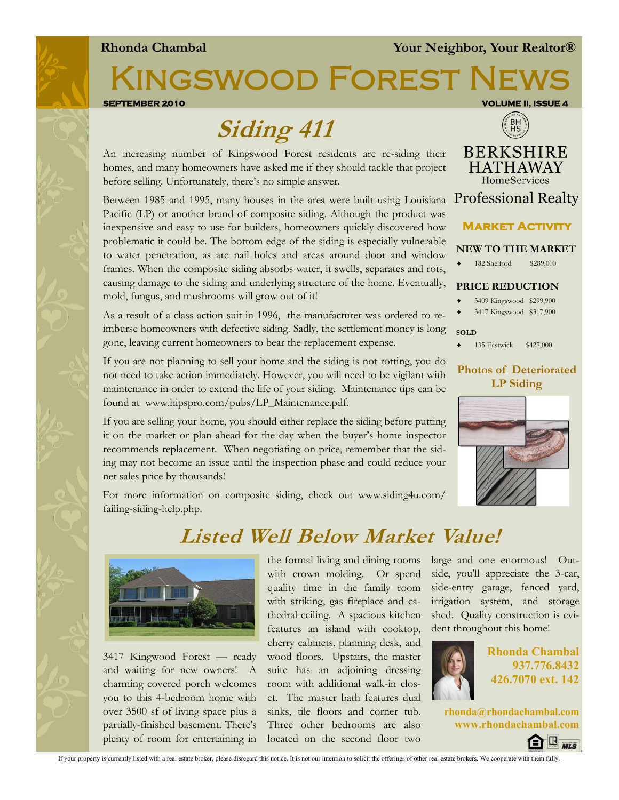#### **Rhonda Chambal Your Neighbor, Your Realtor®**

KINGSWOOD FOREST N

**SEPTEMBER 2010 VOLUME II, ISSUE 4** 

# **Siding 411**

An increasing number of Kingswood Forest residents are re-siding their homes, and many homeowners have asked me if they should tackle that project before selling. Unfortunately, there's no simple answer.

Between 1985 and 1995, many houses in the area were built using Louisiana Pacific (LP) or another brand of composite siding. Although the product was inexpensive and easy to use for builders, homeowners quickly discovered how problematic it could be. The bottom edge of the siding is especially vulnerable to water penetration, as are nail holes and areas around door and window frames. When the composite siding absorbs water, it swells, separates and rots, causing damage to the siding and underlying structure of the home. Eventually, mold, fungus, and mushrooms will grow out of it!

As a result of a class action suit in 1996, the manufacturer was ordered to reimburse homeowners with defective siding. Sadly, the settlement money is long gone, leaving current homeowners to bear the replacement expense.

If you are not planning to sell your home and the siding is not rotting, you do not need to take action immediately. However, you will need to be vigilant with maintenance in order to extend the life of your siding. Maintenance tips can be found at www.hipspro.com/pubs/LP\_Maintenance.pdf.

If you are selling your home, you should either replace the siding before putting it on the market or plan ahead for the day when the buyer's home inspector recommends replacement. When negotiating on price, remember that the siding may not become an issue until the inspection phase and could reduce your net sales price by thousands!

For more information on composite siding, check out www.siding4u.com/ failing-siding-help.php.

## **Listed Well Below Market Value!**



3417 Kingwood Forest — ready and waiting for new owners! A charming covered porch welcomes you to this 4-bedroom home with over 3500 sf of living space plus a partially-finished basement. There's plenty of room for entertaining in

the formal living and dining rooms with crown molding. Or spend quality time in the family room with striking, gas fireplace and cathedral ceiling. A spacious kitchen features an island with cooktop, cherry cabinets, planning desk, and wood floors. Upstairs, the master suite has an adjoining dressing room with additional walk-in closet. The master bath features dual sinks, tile floors and corner tub. Three other bedrooms are also located on the second floor two

large and one enormous! Outside, you'll appreciate the 3-car, side-entry garage, fenced yard, irrigation system, and storage shed. Quality construction is evident throughout this home!



**Rhonda Chambal 937.776.8432 426.7070 ext. 142**

**rhonda@rhondachambal.com www.rhondachambal.com**



If your property is currently listed with a real estate broker, please disregard this notice. It is not our intention to solicit the offerings of other real estate brokers. We cooperate with them fully.





#### **NEW TO THE MARKET**

182 Shelford \$289,000

#### **PRICE REDUCTION**

- 3409 Kingswood \$299,900
- 3417 Kingswood \$317,900
- **SOLD**
- ◆ 135 Eastwick \$427,000

#### **Photos of Deteriorated LP Siding**